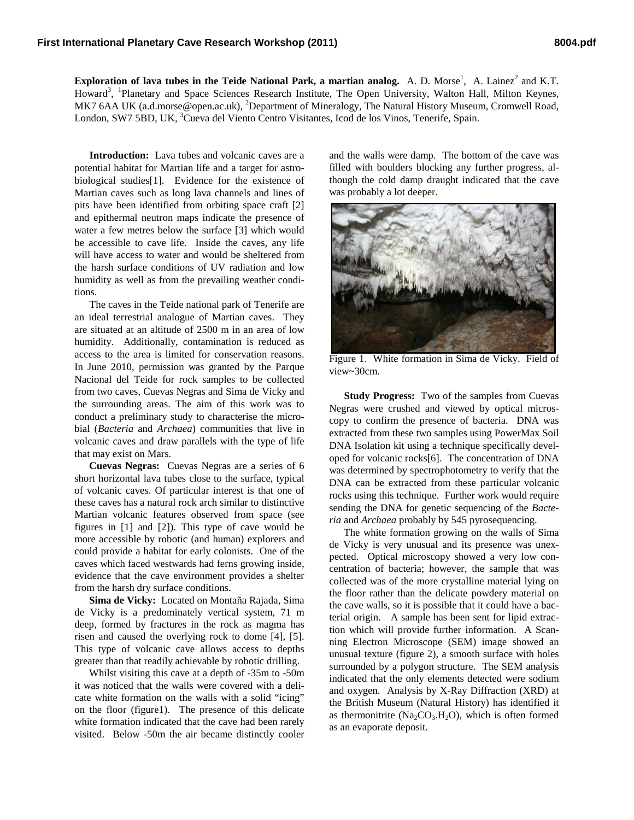**Exploration of lava tubes in the Teide National Park, a martian analog.** A. D. Morse<sup>1</sup>, A. Lainez<sup>2</sup> and K.T. Howard<sup>3</sup>, <sup>1</sup>Planetary and Space Sciences Research Institute, The Open University, Walton Hall, Milton Keynes, MK7 6AA UK (a.d.morse@open.ac.uk), <sup>2</sup>Department of Mineralogy, The Natural History Museum, Cromwell Road, London, SW7 5BD, UK, <sup>3</sup>Cueva del Viento Centro Visitantes, Icod de los Vinos, Tenerife, Spain.

**Introduction:** Lava tubes and volcanic caves are a potential habitat for Martian life and a target for astrobiological studies[1]. Evidence for the existence of Martian caves such as long lava channels and lines of pits have been identified from orbiting space craft [2] and epithermal neutron maps indicate the presence of water a few metres below the surface [3] which would be accessible to cave life. Inside the caves, any life will have access to water and would be sheltered from the harsh surface conditions of UV radiation and low humidity as well as from the prevailing weather conditions.

The caves in the Teide national park of Tenerife are an ideal terrestrial analogue of Martian caves. They are situated at an altitude of 2500 m in an area of low humidity. Additionally, contamination is reduced as access to the area is limited for conservation reasons. In June 2010, permission was granted by the Parque Nacional del Teide for rock samples to be collected from two caves, Cuevas Negras and Sima de Vicky and the surrounding areas. The aim of this work was to conduct a preliminary study to characterise the microbial (*Bacteria* and *Archaea*) communities that live in volcanic caves and draw parallels with the type of life that may exist on Mars.

**Cuevas Negras:** Cuevas Negras are a series of 6 short horizontal lava tubes close to the surface, typical of volcanic caves. Of particular interest is that one of these caves has a natural rock arch similar to distinctive Martian volcanic features observed from space (see figures in [1] and [2]). This type of cave would be more accessible by robotic (and human) explorers and could provide a habitat for early colonists. One of the caves which faced westwards had ferns growing inside, evidence that the cave environment provides a shelter from the harsh dry surface conditions.

**Sima de Vicky:** Located on Montaña Rajada, Sima de Vicky is a predominately vertical system, 71 m deep, formed by fractures in the rock as magma has risen and caused the overlying rock to dome [4], [5]. This type of volcanic cave allows access to depths greater than that readily achievable by robotic drilling.

Whilst visiting this cave at a depth of -35m to -50m it was noticed that the walls were covered with a delicate white formation on the walls with a solid "icing" on the floor (figure1). The presence of this delicate white formation indicated that the cave had been rarely visited. Below -50m the air became distinctly cooler and the walls were damp. The bottom of the cave was filled with boulders blocking any further progress, although the cold damp draught indicated that the cave was probably a lot deeper.



Figure 1. White formation in Sima de Vicky. Field of view~30cm.

**Study Progress:** Two of the samples from Cuevas Negras were crushed and viewed by optical microscopy to confirm the presence of bacteria. DNA was extracted from these two samples using PowerMax Soil DNA Isolation kit using a technique specifically developed for volcanic rocks[6]. The concentration of DNA was determined by spectrophotometry to verify that the DNA can be extracted from these particular volcanic rocks using this technique. Further work would require sending the DNA for genetic sequencing of the *Bacteria* and *Archaea* probably by 545 pyrosequencing.

The white formation growing on the walls of Sima de Vicky is very unusual and its presence was unexpected. Optical microscopy showed a very low concentration of bacteria; however, the sample that was collected was of the more crystalline material lying on the floor rather than the delicate powdery material on the cave walls, so it is possible that it could have a bacterial origin. A sample has been sent for lipid extraction which will provide further information. A Scanning Electron Microscope (SEM) image showed an unusual texture (figure 2), a smooth surface with holes surrounded by a polygon structure. The SEM analysis indicated that the only elements detected were sodium and oxygen. Analysis by X-Ray Diffraction (XRD) at the British Museum (Natural History) has identified it as thermonitrite  $(Na_2CO_3.H_2O)$ , which is often formed as an evaporate deposit.